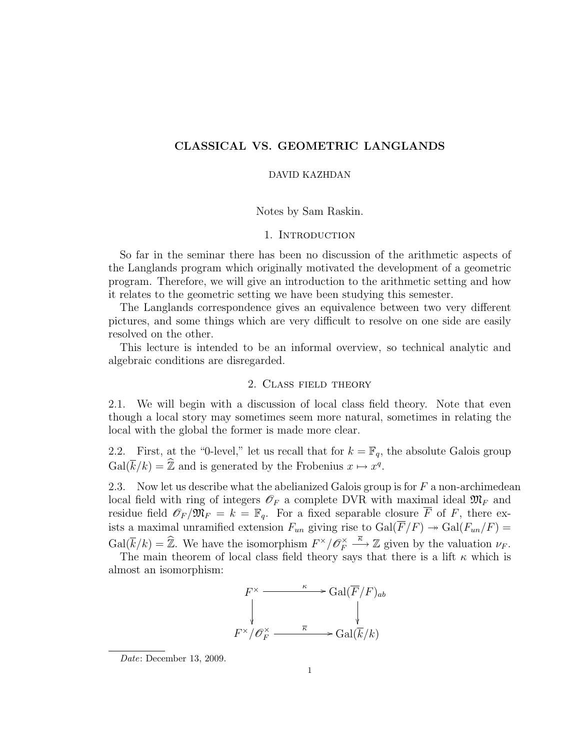# CLASSICAL VS. GEOMETRIC LANGLANDS

#### DAVID KAZHDAN

#### Notes by Sam Raskin.

## 1. Introduction

So far in the seminar there has been no discussion of the arithmetic aspects of the Langlands program which originally motivated the development of a geometric program. Therefore, we will give an introduction to the arithmetic setting and how it relates to the geometric setting we have been studying this semester.

The Langlands correspondence gives an equivalence between two very different pictures, and some things which are very difficult to resolve on one side are easily resolved on the other.

This lecture is intended to be an informal overview, so technical analytic and algebraic conditions are disregarded.

## 2. Class field theory

2.1. We will begin with a discussion of local class field theory. Note that even though a local story may sometimes seem more natural, sometimes in relating the local with the global the former is made more clear.

2.2. First, at the "0-level," let us recall that for  $k = \mathbb{F}_q$ , the absolute Galois group  $Gal(\overline{k}/k) = \widehat{\mathbb{Z}}$  and is generated by the Frobenius  $x \mapsto x^q$ .

2.3. Now let us describe what the abelianized Galois group is for  $F$  a non-archimedean local field with ring of integers  $\mathscr{O}_F$  a complete DVR with maximal ideal  $\mathfrak{M}_F$  and residue field  $\mathscr{O}_F/\mathfrak{M}_F = k = \mathbb{F}_q$ . For a fixed separable closure  $\overline{F}$  of F, there exists a maximal unramified extension  $F_{un}$  giving rise to  $Gal(\overline{F}/F) \rightarrow Gal(F_{un}/F) =$  $Gal(\overline{k}/k) = \widehat{\mathbb{Z}}$ . We have the isomorphism  $F^{\times}/\mathscr{O}_F^{\times}$  $E_F^{\times} \stackrel{\overline{\kappa}}{\longrightarrow} \mathbb{Z}$  given by the valuation  $\nu_F$ .

The main theorem of local class field theory says that there is a lift  $\kappa$  which is almost an isomorphism:

$$
F^{\times} \xrightarrow{\kappa} \text{Gal}(\overline{F}/F)_{ab}
$$

$$
\downarrow \qquad \qquad \downarrow
$$

$$
F^{\times}/\mathscr{O}_F^{\times} \xrightarrow{\overline{\kappa}} \text{Gal}(\overline{k}/k)
$$

Date: December 13, 2009.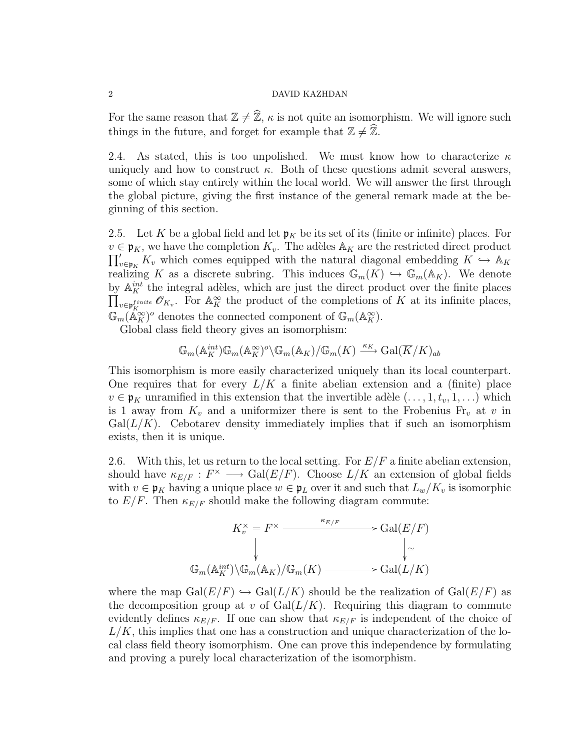#### 2 DAVID KAZHDAN

For the same reason that  $\mathbb{Z} \neq \widehat{\mathbb{Z}}$ ,  $\kappa$  is not quite an isomorphism. We will ignore such things in the future, and forget for example that  $\mathbb{Z} \neq \widehat{\mathbb{Z}}$ .

2.4. As stated, this is too unpolished. We must know how to characterize  $\kappa$ uniquely and how to construct  $\kappa$ . Both of these questions admit several answers, some of which stay entirely within the local world. We will answer the first through the global picture, giving the first instance of the general remark made at the beginning of this section.

<span id="page-1-0"></span>2.5. Let K be a global field and let  $\mathfrak{p}_K$  be its set of its (finite or infinite) places. For  $\prod_{v\in\mathfrak{p}_K}' K_v$  which comes equipped with the natural diagonal embedding  $K \to \mathbb{A}_K$  $v \in \mathfrak{p}_K$ , we have the completion  $K_v$ . The adèles  $\mathbb{A}_K$  are the restricted direct product realizing K as a discrete subring. This induces  $\mathbb{G}_m(K) \hookrightarrow \mathbb{G}_m(\mathbb{A}_K)$ . We denote by  $\mathbb{A}^{int}_{K}$  the integral adèles, which are just the direct product over the finite places  $\prod_{v\in p_K^{finite}} \mathscr{O}_{K_v}$ . For  $\mathbb{A}_K^{\infty}$  the product of the completions of K at its infinite places,  $\mathbb{G}_m(\mathbb{A}_{\tilde{K}}^{\infty})^o$  denotes the connected component of  $\mathbb{G}_m(\mathbb{A}_{\tilde{K}}^{\infty})$ .

Global class field theory gives an isomorphism:

$$
\mathbb{G}_{m}(\mathbb{A}_{K}^{int})\mathbb{G}_{m}(\mathbb{A}_{K}^{\infty})^{o}\backslash\mathbb{G}_{m}(\mathbb{A}_{K})/\mathbb{G}_{m}(K)\xrightarrow{\kappa_{K}}\mathrm{Gal}(\overline{K}/K)_{ab}
$$

This isomorphism is more easily characterized uniquely than its local counterpart. One requires that for every  $L/K$  a finite abelian extension and a (finite) place  $v \in \mathfrak{p}_K$  unramified in this extension that the invertible adèle  $(\ldots, 1, t_v, 1, \ldots)$  which is 1 away from  $K_v$  and a uniformizer there is sent to the Frobenius  $Fr_v$  at v in  $Gal(L/K)$ . Cebotarev density immediately implies that if such an isomorphism exists, then it is unique.

2.6. With this, let us return to the local setting. For  $E/F$  a finite abelian extension, should have  $\kappa_{E/F}: F^{\times} \longrightarrow \text{Gal}(E/F)$ . Choose  $L/K$  an extension of global fields with  $v \in \mathfrak{p}_K$  having a unique place  $w \in \mathfrak{p}_L$  over it and such that  $L_w/K_v$  is isomorphic to  $E/F$ . Then  $\kappa_{E/F}$  should make the following diagram commute:



where the map  $Gal(E/F) \hookrightarrow Gal(L/K)$  should be the realization of  $Gal(E/F)$  as the decomposition group at v of  $Gal(L/K)$ . Requiring this diagram to commute evidently defines  $\kappa_{E/F}$ . If one can show that  $\kappa_{E/F}$  is independent of the choice of  $L/K$ , this implies that one has a construction and unique characterization of the local class field theory isomorphism. One can prove this independence by formulating and proving a purely local characterization of the isomorphism.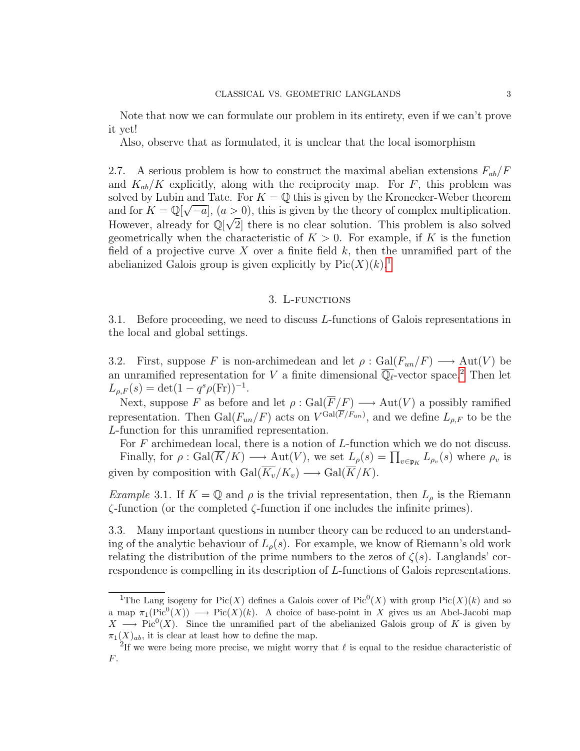Note that now we can formulate our problem in its entirety, even if we can't prove it yet!

Also, observe that as formulated, it is unclear that the local isomorphism

2.7. A serious problem is how to construct the maximal abelian extensions  $F_{ab}/F$ and  $K_{ab}/K$  explicitly, along with the reciprocity map. For F, this problem was solved by Lubin and Tate. For  $K = \mathbb{Q}$  this is given by the Kronecker-Weber theorem and for  $K = \mathbb{Q}[\sqrt{-a}]$ ,  $(a > 0)$ , this is given by the theory of complex multiplication. However, already for  $\mathbb{Q}[\sqrt{2}]$  there is no clear solution. This problem is also solved geometrically when the characteristic of  $K > 0$ . For example, if K is the function field of a projective curve X over a finite field  $k$ , then the unramified part of the abelianized Galois group is given explicitly by  $Pic(X)(k)$ <sup>[1](#page-2-0)</sup>

### 3. L-functions

3.1. Before proceeding, we need to discuss L-functions of Galois representations in the local and global settings.

3.2. First, suppose F is non-archimedean and let  $\rho : \text{Gal}(F_{un}/F) \longrightarrow \text{Aut}(V)$  be an unramified representation for V a finite dimensional  $\overline{\mathbb{Q}_\ell}$ -vector space.<sup>[2](#page-2-1)</sup> Then let  $L_{\rho,F}(s) = \det(1 - q^s \rho(\text{Fr}))^{-1}.$ 

Next, suppose F as before and let  $\rho : \text{Gal}(\overline{F}/F) \longrightarrow \text{Aut}(V)$  a possibly ramified representation. Then  $Gal(F_{un}/F)$  acts on  $V^{Gal(F/F_{un})}$ , and we define  $L_{\rho,F}$  to be the L-function for this unramified representation.

For F archimedean local, there is a notion of L-function which we do not discuss. Finally, for  $\rho : \text{Gal}(\overline{K}/K) \longrightarrow \text{Aut}(V)$ , we set  $L_{\rho}(s) = \prod_{v \in \mathfrak{p}_K} L_{\rho_v}(s)$  where  $\rho_v$  is given by composition with  $Gal(\overline{K_v}/K_v) \longrightarrow Gal(\overline{K}/K)$ .

Example 3.1. If  $K = \mathbb{Q}$  and  $\rho$  is the trivial representation, then  $L_{\rho}$  is the Riemann  $\zeta$ -function (or the completed  $\zeta$ -function if one includes the infinite primes).

3.3. Many important questions in number theory can be reduced to an understanding of the analytic behaviour of  $L_{\rho}(s)$ . For example, we know of Riemann's old work relating the distribution of the prime numbers to the zeros of  $\zeta(s)$ . Langlands' correspondence is compelling in its description of L-functions of Galois representations.

<span id="page-2-0"></span><sup>&</sup>lt;sup>1</sup>The Lang isogeny for Pic(X) defines a Galois cover of Pic<sup>0</sup>(X) with group Pic(X)(k) and so a map  $\pi_1(\text{Pic}^0(X)) \longrightarrow \text{Pic}(X)(k)$ . A choice of base-point in X gives us an Abel-Jacobi map  $X \longrightarrow Pic^{0}(X)$ . Since the unramified part of the abelianized Galois group of K is given by  $\pi_1(X)_{ab}$ , it is clear at least how to define the map.

<span id="page-2-1"></span><sup>&</sup>lt;sup>2</sup>If we were being more precise, we might worry that  $\ell$  is equal to the residue characteristic of F.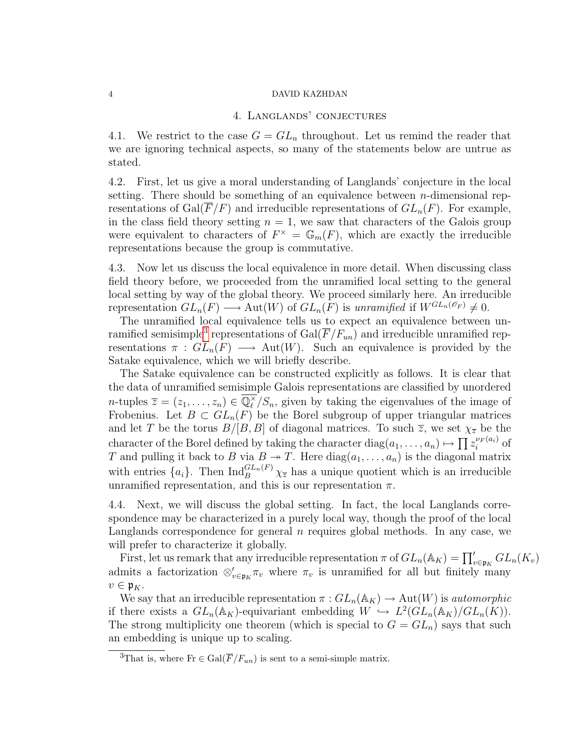#### 4 DAVID KAZHDAN

#### 4. Langlands' conjectures

4.1. We restrict to the case  $G = GL_n$  throughout. Let us remind the reader that we are ignoring technical aspects, so many of the statements below are untrue as stated.

4.2. First, let us give a moral understanding of Langlands' conjecture in the local setting. There should be something of an equivalence between  $n$ -dimensional representations of Gal( $\overline{F}/F$ ) and irreducible representations of  $GL_n(F)$ . For example, in the class field theory setting  $n = 1$ , we saw that characters of the Galois group were equivalent to characters of  $F^{\times} = \mathbb{G}_m(F)$ , which are exactly the irreducible representations because the group is commutative.

4.3. Now let us discuss the local equivalence in more detail. When discussing class field theory before, we proceeded from the unramified local setting to the general local setting by way of the global theory. We proceed similarly here. An irreducible representation  $GL_n(F) \longrightarrow Aut(W)$  of  $GL_n(F)$  is unramified if  $W^{GL_n(\mathscr{O}_F)} \neq 0$ .

The unramified local equivalence tells us to expect an equivalence between un-ramified semisimple<sup>[3](#page-3-0)</sup> representations of  $Gal(\overline{F}/F_{un})$  and irreducible unramified representations  $\pi : GL_n(F) \longrightarrow Aut(W)$ . Such an equivalence is provided by the Satake equivalence, which we will briefly describe.

The Satake equivalence can be constructed explicitly as follows. It is clear that the data of unramified semisimple Galois representations are classified by unordered *n*-tuples  $\overline{z} = (z_1, \ldots, z_n) \in \overline{\mathbb{Q}_{\ell}^{\times}}$  $\binom{X}{\ell}$ , given by taking the eigenvalues of the image of Frobenius. Let  $B \subset GL_n(F)$  be the Borel subgroup of upper triangular matrices and let T be the torus  $B/[B, B]$  of diagonal matrices. To such  $\overline{z}$ , we set  $\chi_{\overline{z}}$  be the character of the Borel defined by taking the character  $\text{diag}(a_1, \ldots, a_n) \mapsto \prod z_i^{\nu_F(a_i)}$  $i^{\nu_F(a_i)}$  of T and pulling it back to B via  $B \to T$ . Here  $diag(a_1, \ldots, a_n)$  is the diagonal matrix with entries  ${a_i}$ . Then  $\text{Ind}_B^{GL_n(F)} \chi_{\overline{z}}$  has a unique quotient which is an irreducible unramified representation, and this is our representation  $\pi$ .

4.4. Next, we will discuss the global setting. In fact, the local Langlands correspondence may be characterized in a purely local way, though the proof of the local Langlands correspondence for general  $n$  requires global methods. In any case, we will prefer to characterize it globally.

First, let us remark that any irreducible representation  $\pi$  of  $GL_n(\mathbb{A}_K) = \prod'_{v \in \mathfrak{p}_K} GL_n(K_v)$ admits a factorization  $\otimes_{v \in \mathfrak{p}_K} \pi_v$  where  $\pi_v$  is unramified for all but finitely many  $v \in \mathfrak{p}_K$ .

We say that an irreducible representation  $\pi: GL_n(\mathbb{A}_K) \to \text{Aut}(W)$  is *automorphic* if there exists a  $GL_n(\mathbb{A}_K)$ -equivariant embedding  $W \hookrightarrow L^2(\hat{GL}_n(\mathbb{A}_K)/GL_n(K)).$ The strong multiplicity one theorem (which is special to  $G = GL_n$ ) says that such an embedding is unique up to scaling.

<span id="page-3-0"></span><sup>&</sup>lt;sup>3</sup>That is, where Fr  $\in \text{Gal}(\overline{F}/F_{un})$  is sent to a semi-simple matrix.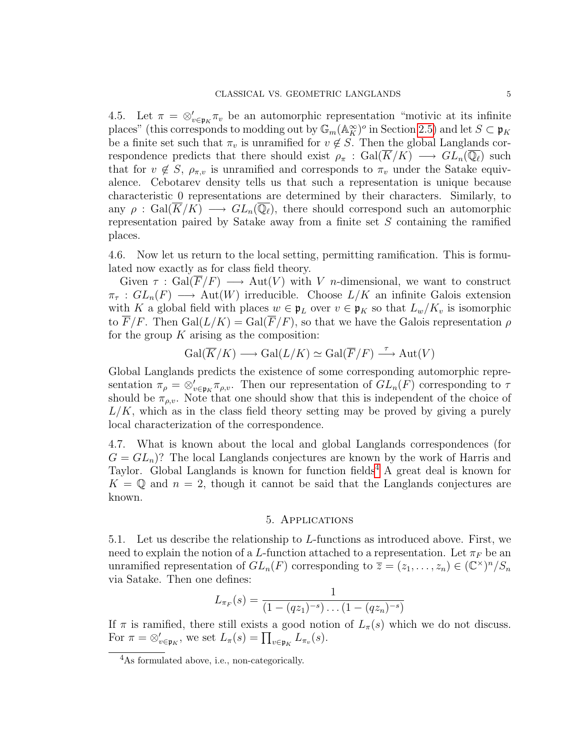4.5. Let  $\pi = \otimes_{v \in \mathfrak{p}_K} \pi_v$  be an automorphic representation "motivic at its infinite places" (this corresponds to modding out by  $\mathbb{G}_m(\mathbb{A}_K^{\infty})^o$  in Section [2.5\)](#page-1-0) and let  $S \subset \mathfrak{p}_K$ be a finite set such that  $\pi_v$  is unramified for  $v \notin S$ . Then the global Langlands correspondence predicts that there should exist  $\rho_{\pi}: Gal(\overline{K}/K) \longrightarrow GL_n(\overline{\mathbb{Q}_\ell})$  such that for  $v \notin S$ ,  $\rho_{\pi,v}$  is unramified and corresponds to  $\pi_v$  under the Satake equivalence. Cebotarev density tells us that such a representation is unique because characteristic 0 representations are determined by their characters. Similarly, to any  $\rho$  : Gal( $K/K$ )  $\longrightarrow GL_n(\mathbb{Q}_\ell)$ , there should correspond such an automorphic representation paired by Satake away from a finite set S containing the ramified places.

4.6. Now let us return to the local setting, permitting ramification. This is formulated now exactly as for class field theory.

Given  $\tau : \text{Gal}(\overline{F}/F) \longrightarrow \text{Aut}(V)$  with V n-dimensional, we want to construct  $\pi_{\tau}: GL_n(F) \longrightarrow \text{Aut}(W)$  irreducible. Choose  $L/K$  an infinite Galois extension with K a global field with places  $w \in \mathfrak{p}_L$  over  $v \in \mathfrak{p}_K$  so that  $L_w/K_v$  is isomorphic to  $\overline{F}/F$ . Then  $Gal(L/K) = Gal(\overline{F}/F)$ , so that we have the Galois representation  $\rho$ for the group  $K$  arising as the composition:

$$
\operatorname{Gal}(\overline{K}/K) \longrightarrow \operatorname{Gal}(L/K) \simeq \operatorname{Gal}(\overline{F}/F) \stackrel{\tau}{\longrightarrow} \operatorname{Aut}(V)
$$

Global Langlands predicts the existence of some corresponding automorphic representation  $\pi_{\rho} = \otimes_{v \in \mathfrak{p}_K} \pi_{\rho,v}$ . Then our representation of  $GL_n(F)$  corresponding to  $\tau$ should be  $\pi_{\rho,\nu}$ . Note that one should show that this is independent of the choice of  $L/K$ , which as in the class field theory setting may be proved by giving a purely local characterization of the correspondence.

4.7. What is known about the local and global Langlands correspondences (for  $G = GL_n$ ? The local Langlands conjectures are known by the work of Harris and Taylor. Global Langlands is known for function fields<sup>[4](#page-4-0)</sup> A great deal is known for  $K = \mathbb{Q}$  and  $n = 2$ , though it cannot be said that the Langlands conjectures are known.

#### 5. Applications

5.1. Let us describe the relationship to L-functions as introduced above. First, we need to explain the notion of a L-function attached to a representation. Let  $\pi_F$  be an unramified representation of  $GL_n(F)$  corresponding to  $\overline{z} = (z_1, \ldots, z_n) \in (\mathbb{C}^\times)^n / S_n$ via Satake. Then one defines:

$$
L_{\pi_F}(s) = \frac{1}{(1 - (qz_1)^{-s}) \dots (1 - (qz_n)^{-s})}
$$

If  $\pi$  is ramified, there still exists a good notion of  $L_{\pi}(s)$  which we do not discuss. For  $\pi = \otimes_{v \in \mathfrak{p}_K}$ , we set  $L_{\pi}(s) = \prod_{v \in \mathfrak{p}_K} L_{\pi_v}(s)$ .

<span id="page-4-0"></span><sup>4</sup>As formulated above, i.e., non-categorically.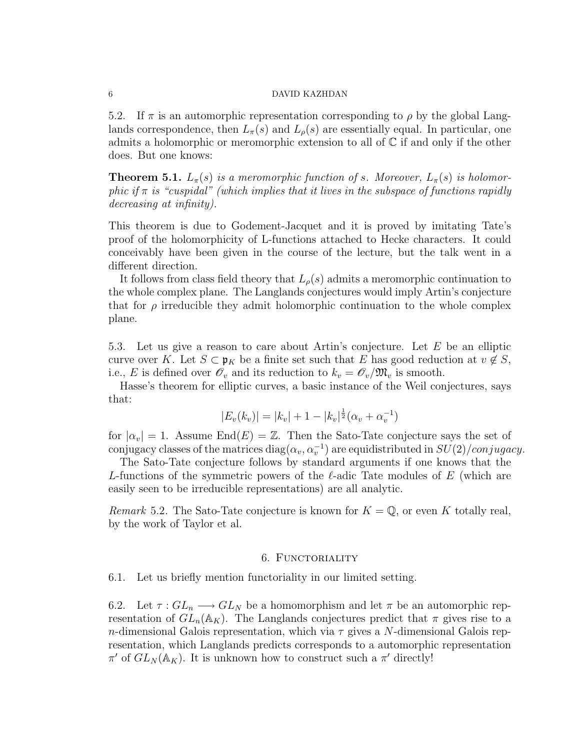#### 6 DAVID KAZHDAN

5.2. If  $\pi$  is an automorphic representation corresponding to  $\rho$  by the global Langlands correspondence, then  $L_{\pi}(s)$  and  $L_{\rho}(s)$  are essentially equal. In particular, one admits a holomorphic or meromorphic extension to all of  $\mathbb C$  if and only if the other does. But one knows:

**Theorem 5.1.**  $L_{\pi}(s)$  is a meromorphic function of s. Moreover,  $L_{\pi}(s)$  is holomorphic if  $\pi$  is "cuspidal" (which implies that it lives in the subspace of functions rapidly decreasing at infinity).

This theorem is due to Godement-Jacquet and it is proved by imitating Tate's proof of the holomorphicity of L-functions attached to Hecke characters. It could conceivably have been given in the course of the lecture, but the talk went in a different direction.

It follows from class field theory that  $L_{\rho}(s)$  admits a meromorphic continuation to the whole complex plane. The Langlands conjectures would imply Artin's conjecture that for  $\rho$  irreducible they admit holomorphic continuation to the whole complex plane.

5.3. Let us give a reason to care about Artin's conjecture. Let E be an elliptic curve over K. Let  $S \subset \mathfrak{p}_K$  be a finite set such that E has good reduction at  $v \notin S$ , i.e., E is defined over  $\mathscr{O}_v$  and its reduction to  $k_v = \mathscr{O}_v/\mathfrak{M}_v$  is smooth.

Hasse's theorem for elliptic curves, a basic instance of the Weil conjectures, says that:

$$
|E_v(k_v)| = |k_v| + 1 - |k_v|^{\frac{1}{2}}(\alpha_v + \alpha_v^{-1})
$$

for  $|\alpha_v| = 1$ . Assume End $(E) = \mathbb{Z}$ . Then the Sato-Tate conjecture says the set of conjugacy classes of the matrices  $diag(\alpha_v, \alpha_v^{-1})$  are equidistributed in  $SU(2)/conjugacy$ .

The Sato-Tate conjecture follows by standard arguments if one knows that the L-functions of the symmetric powers of the  $\ell$ -adic Tate modules of E (which are easily seen to be irreducible representations) are all analytic.

*Remark* 5.2. The Sato-Tate conjecture is known for  $K = \mathbb{Q}$ , or even K totally real, by the work of Taylor et al.

# 6. FUNCTORIALITY

6.1. Let us briefly mention functoriality in our limited setting.

6.2. Let  $\tau : GL_n \longrightarrow GL_N$  be a homomorphism and let  $\pi$  be an automorphic representation of  $GL_n(\mathbb{A}_K)$ . The Langlands conjectures predict that  $\pi$  gives rise to a n-dimensional Galois representation, which via  $\tau$  gives a N-dimensional Galois representation, which Langlands predicts corresponds to a automorphic representation  $\pi'$  of  $GL_N(\mathbb{A}_K)$ . It is unknown how to construct such a π' directly!